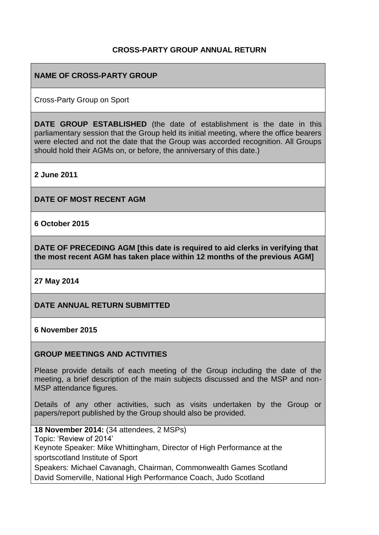## **CROSS-PARTY GROUP ANNUAL RETURN**

### **NAME OF CROSS-PARTY GROUP**

Cross-Party Group on Sport

**DATE GROUP ESTABLISHED** (the date of establishment is the date in this parliamentary session that the Group held its initial meeting, where the office bearers were elected and not the date that the Group was accorded recognition. All Groups should hold their AGMs on, or before, the anniversary of this date.)

**2 June 2011**

**DATE OF MOST RECENT AGM**

**6 October 2015**

**DATE OF PRECEDING AGM [this date is required to aid clerks in verifying that the most recent AGM has taken place within 12 months of the previous AGM]**

**27 May 2014**

**DATE ANNUAL RETURN SUBMITTED**

#### **6 November 2015**

#### **GROUP MEETINGS AND ACTIVITIES**

Please provide details of each meeting of the Group including the date of the meeting, a brief description of the main subjects discussed and the MSP and non-MSP attendance figures.

Details of any other activities, such as visits undertaken by the Group or papers/report published by the Group should also be provided.

**18 November 2014:** (34 attendees, 2 MSPs) Topic: 'Review of 2014' Keynote Speaker: Mike Whittingham, Director of High Performance at the sportscotland Institute of Sport Speakers: Michael Cavanagh, Chairman, Commonwealth Games Scotland David Somerville, National High Performance Coach, Judo Scotland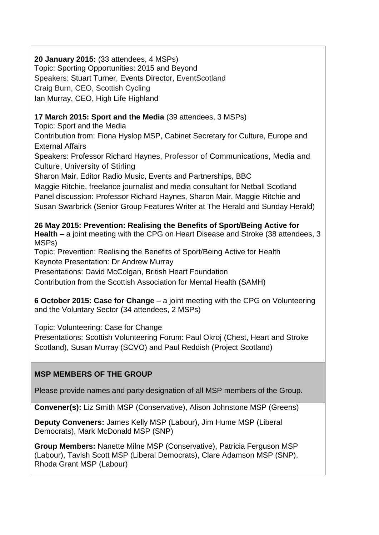## **20 January 2015:** (33 attendees, 4 MSPs)

Topic: Sporting Opportunities: 2015 and Beyond Speakers: Stuart Turner, Events Director, EventScotland Craig Burn, CEO, Scottish Cycling Ian Murray, CEO, High Life Highland

## **17 March 2015: Sport and the Media** (39 attendees, 3 MSPs)

Topic: Sport and the Media Contribution from: Fiona Hyslop MSP, Cabinet Secretary for Culture, Europe and External Affairs Speakers: Professor Richard Haynes, Professor of Communications, Media and Culture, University of Stirling Sharon Mair, Editor Radio Music, Events and Partnerships, BBC Maggie Ritchie, freelance journalist and media consultant for Netball Scotland Panel discussion: Professor Richard Haynes, Sharon Mair, Maggie Ritchie and Susan Swarbrick (Senior Group Features Writer at The Herald and Sunday Herald)

**26 May 2015: Prevention: Realising the Benefits of Sport/Being Active for Health** – a joint meeting with the CPG on Heart Disease and Stroke (38 attendees, 3 MSPs)

Topic: Prevention: Realising the Benefits of Sport/Being Active for Health Keynote Presentation: Dr Andrew Murray

Presentations: David McColgan, British Heart Foundation

Contribution from the Scottish Association for Mental Health (SAMH)

**6 October 2015: Case for Change** – a joint meeting with the CPG on Volunteering and the Voluntary Sector (34 attendees, 2 MSPs)

Topic: Volunteering: Case for Change

Presentations: Scottish Volunteering Forum: Paul Okroj (Chest, Heart and Stroke Scotland), Susan Murray (SCVO) and Paul Reddish (Project Scotland)

## **MSP MEMBERS OF THE GROUP**

Please provide names and party designation of all MSP members of the Group.

**Convener(s):** Liz Smith MSP (Conservative), Alison Johnstone MSP (Greens)

**Deputy Conveners:** James Kelly MSP (Labour), Jim Hume MSP (Liberal Democrats), Mark McDonald MSP (SNP)

**Group Members:** Nanette Milne MSP (Conservative), Patricia Ferguson MSP (Labour), Tavish Scott MSP (Liberal Democrats), Clare Adamson MSP (SNP), Rhoda Grant MSP (Labour)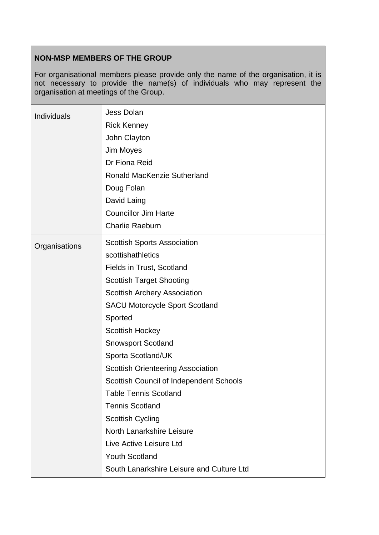## **NON-MSP MEMBERS OF THE GROUP**

For organisational members please provide only the name of the organisation, it is not necessary to provide the name(s) of individuals who may represent the organisation at meetings of the Group.

| Individuals   | <b>Jess Dolan</b><br><b>Rick Kenney</b><br>John Clayton<br>Jim Moyes<br>Dr Fiona Reid<br><b>Ronald MacKenzie Sutherland</b><br>Doug Folan<br>David Laing |
|---------------|----------------------------------------------------------------------------------------------------------------------------------------------------------|
|               | <b>Councillor Jim Harte</b><br><b>Charlie Raeburn</b>                                                                                                    |
| Organisations | <b>Scottish Sports Association</b><br>scottishathletics                                                                                                  |
|               | Fields in Trust, Scotland                                                                                                                                |
|               | <b>Scottish Target Shooting</b>                                                                                                                          |
|               | <b>Scottish Archery Association</b>                                                                                                                      |
|               | <b>SACU Motorcycle Sport Scotland</b>                                                                                                                    |
|               | Sported                                                                                                                                                  |
|               | <b>Scottish Hockey</b>                                                                                                                                   |
|               | <b>Snowsport Scotland</b>                                                                                                                                |
|               | Sporta Scotland/UK                                                                                                                                       |
|               | <b>Scottish Orienteering Association</b>                                                                                                                 |
|               | Scottish Council of Independent Schools                                                                                                                  |
|               | <b>Table Tennis Scotland</b>                                                                                                                             |
|               | <b>Tennis Scotland</b>                                                                                                                                   |
|               | <b>Scottish Cycling</b>                                                                                                                                  |
|               | North Lanarkshire Leisure                                                                                                                                |
|               | Live Active Leisure Ltd                                                                                                                                  |
|               | <b>Youth Scotland</b>                                                                                                                                    |
|               | South Lanarkshire Leisure and Culture Ltd                                                                                                                |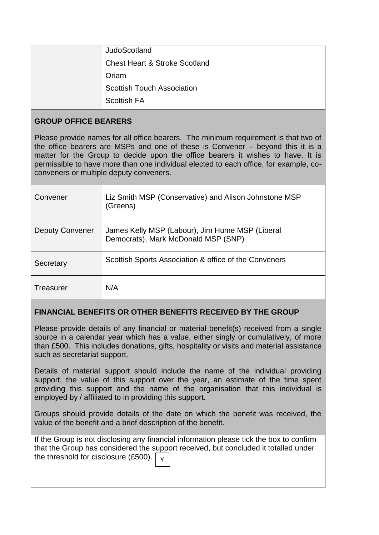| JudoScotland                             |
|------------------------------------------|
| <b>Chest Heart &amp; Stroke Scotland</b> |
| Oriam                                    |
| <b>Scottish Touch Association</b>        |
| <b>Scottish FA</b>                       |

## **GROUP OFFICE BEARERS**

Please provide names for all office bearers. The minimum requirement is that two of the office bearers are MSPs and one of these is Convener – beyond this it is a matter for the Group to decide upon the office bearers it wishes to have. It is permissible to have more than one individual elected to each office, for example, coconveners or multiple deputy conveners.

| Convener               | Liz Smith MSP (Conservative) and Alison Johnstone MSP<br>(Greens)                      |
|------------------------|----------------------------------------------------------------------------------------|
| <b>Deputy Convener</b> | James Kelly MSP (Labour), Jim Hume MSP (Liberal<br>Democrats), Mark McDonald MSP (SNP) |
| Secretary              | Scottish Sports Association & office of the Conveners                                  |
| Treasurer              | N/A                                                                                    |

## **FINANCIAL BENEFITS OR OTHER BENEFITS RECEIVED BY THE GROUP**

Please provide details of any financial or material benefit(s) received from a single source in a calendar year which has a value, either singly or cumulatively, of more than £500. This includes donations, gifts, hospitality or visits and material assistance such as secretariat support.

Details of material support should include the name of the individual providing support, the value of this support over the year, an estimate of the time spent providing this support and the name of the organisation that this individual is employed by / affiliated to in providing this support.

Groups should provide details of the date on which the benefit was received, the value of the benefit and a brief description of the benefit.

If the Group is not disclosing any financial information please tick the box to confirm that the Group has considered the support received, but concluded it totalled under the threshold for disclosure  $(E500)$ .